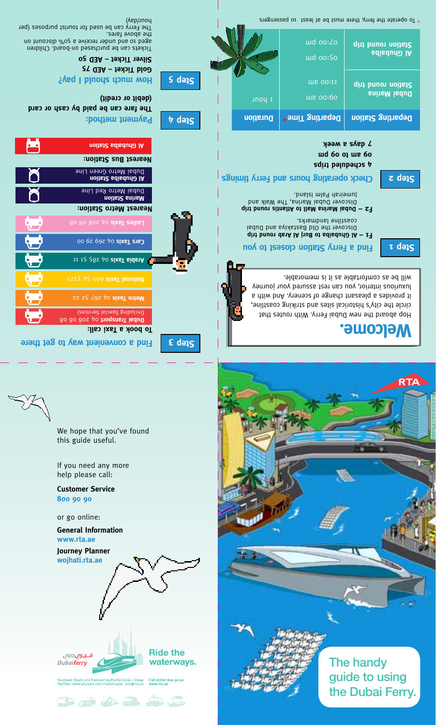

We hope that you've found

this guide useful.

Lickets can be bintcused ou-posid: Children on que to post teceive a 50% algoritor ou

The Ferry can be used for tourist purposes (per

the above tares.

(*Nep/unoy* 





**.Welcome**

**1 Step**

Hop aboard the new Dubai Ferry. With routes that circle the city's historical sites and striking coastline, it provides a pleasant change of scenery. And with a luxurious interior, you can rest assured your journey .blds om fortable as it is memorable.

| уээм в зувр 7<br>und 60 of me 60<br>4 scheduled trips<br>Check operating hours and Ferry timing<br>$\overline{z}$ də $\overline{s}$ |          |                             |                                            |                    |
|-------------------------------------------------------------------------------------------------------------------------------------|----------|-----------------------------|--------------------------------------------|--------------------|
|                                                                                                                                     | Duration | <b>Peparting Time*</b>      |                                            | Departing Station  |
|                                                                                                                                     | unoy t   | the oo:60                   | Station round trip<br><b>Buhall Marina</b> |                    |
|                                                                                                                                     |          | ud oo:So<br><b>WE OO:II</b> |                                            |                    |
|                                                                                                                                     |          |                             |                                            | <b>Al Ghubaiba</b> |

\* To operate the ferry, there must be at least 10 passengers

**times** purely uping